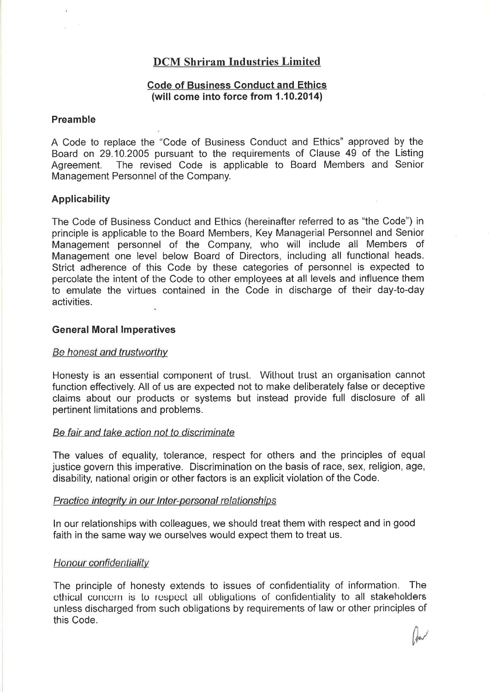# DCM Shriram Industries Limited

# Code of Business Conduct and Ethics (will come into force from  $1.10,2014$ )

# Preamble

A Code to replace the "Code of Business Conduct and Ethics" approved by the Board on 29.10.2005 pursuant to the requirements of Clause 49 of the Listing Agreement. The revised Code is applicable to Board Members and Senior Management Personnel of the Company.

# Applicability

The Code of Business Conduct and Ethics (hereinafter referred to as "the Code") in principle is applicable to the Board Members, Key Managerial Personnel and Senior Management personnel of the Company, who will include all Members of Management one level below Board of Directors, including all functional heads. Strict adherence of this Code by these categories of personnel is expected to percolate the intent of the Code to other employees at all levels and influence them to emulate the virtues contained in the Code in discharge of their day-to-day activities.

# General Moral lmperatives

#### Be honest and trustworthv

Honesty is an essential component of trust. Without trust an organisation cannot function effectively. All of us are expected not to make deliberately false or deceptive claims about our products or systems but instead provide full disclosure of all pertinent limitations and problems.

### Be fair and take action not to discriminate

The values of equality, tolerance, respect for others and the principles of equal justice govern this imperative. Discrimination on the basis of race, sex, religion, age, disability, national origin or other factors is an explicit violation of the Code.

#### Practice integrity in our Inter-personal relationships

ln our relationships with colleagues, we should treat them with respect and in good faith in the same way we ourselves would expect them to treat us.

#### Honour confidentiality

The principle of honesty extends to issues of confidentiality of information. The ethical concern is to respect all obligations of confidentiality to all stakeholders unless discharged from such obligations by requirements of law or other principles of this Code.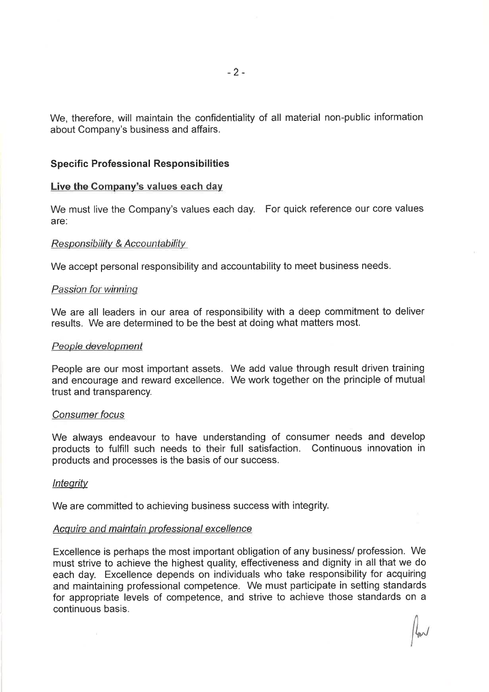We, therefore, will maintain the confidentiality of all material non-public information about Company's business and affairs.

# **Specific Professional Responsibilities**

#### Live the Company's values each day

We must live the Company's values each day. For quick reference our core values are:

#### Responsibility & Accountability

We accept personal responsibility and accountability to meet business needs.

# Passion for winning

We are all leaders in our area of responsibility with a deep commitment to deliver results. We are determined to be the best at doing what matters most.

#### People development

People are our most important assets. We add value through result driven training and encourage and reward excellence. We work together on the principle of mutua trust and transparency.

#### Consumer focus

We always endeavour to have understanding of consumer needs and develop products to fulfill such needs to their full satisfaction. Continuous innovation in products and processes is the basis of our success.

### lntegrity

We are committed to achieving business success with integrity.

#### Acquire and maintain professional excellence

Excellence is perhaps the most important obligation of any business/ profession. We must strive to achieve the highest quality, effectiveness and dignity in all that we do each day. Excellence depends on individuals who take responsibility for acquiring and maintaining professional competence. We must participate in setting standards for appropriate levels of competence, and strive to achieve those standards on a continuous basis.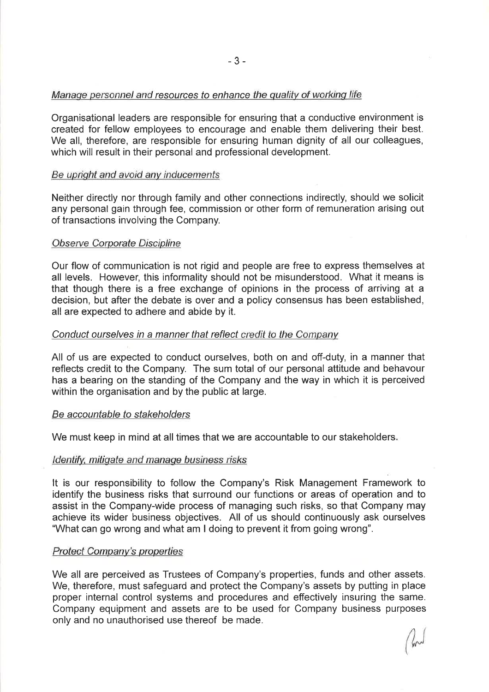# Manage personnel and resources to enhance the quality of working life

Organisational leaders are responsible for ensuring that a conductive environment is created for fellow employees to encourage and enable them delivering their best. We all, therefore, are responsible for ensuring human dignity of all our colleagues, which will result in their personal and professional development.

# Be upright and avoid any inducements

Neither directly nor through family and other connections indirectly, should we solicit any personal gain through fee, commission or other form of remuneration arising out of transactions involving the Company.

## Observe Corporate Discipline

Our flow of communication is not rigid and people are free to express themselves at all levels. However, this informality should not be misunderstood. What it means is that though there is a free exchange of opinions in the process of arriving at a decision, but after the debate is over and a policy consensus has been established, all are expected to adhere and abide by it.

## Conduct ourselves in a manner that reflect credit to the Company

All of us are expected to conduct ourselves, both on and off-duty, in a manner that reflects credit to the Company. The sum total of our personal attitude and behavour has a bearing on the standing of the Company and the way in which it is perceived within the organisation and by the public at large.

#### Be accountable to stakeholders

We must keep in mind at all times that we are accountable to our stakeholders.

#### ldentify. mitigate and manage business risks

It is our responsibility to follow the Company's Risk Management Framework to identify the business risks that surround our functions or areas of operation and to assist in the Company-wide process of managing such risks, so that Company may achieve its wider business objectives. All of us should continuously ask ourselves "What can go wrong and what am I doing to prevent it from going wrong".

### Protect Company's properties

We all are perceived as Trustees of Company's properties, funds and other assets. We, therefore, must safeguard and protect the Company's assets by putting in place proper internal control systems and procedures and effectively insuring the same. Company equipment and assets are to be used for Company business purposes only and no unauthorised use thereof be made.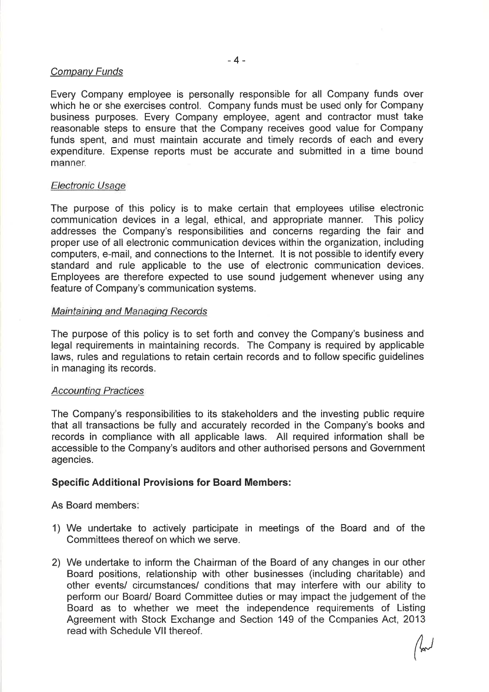# Company Funds

Every Company employee is personally responsible for all Company funds over which he or she exercises control. Company funds must be used only for Company business purposes. Every Company employee, agent and contractor must take reasonable steps to ensure that the Company receives good value for Company funds spent, and must maintain accurate and timely records of each and every expenditure. Expense reports must be accurate and submitted in a time bound manner.

## Electronic Usage

The purpose of this policy is to make certain that employees utilise electronic communication devices in a legal, ethical, and appropriate manner. This policy addresses the Company's responsibilities and concerns regarding the fair and proper use of all electronic communication devices within the organization, including computers, e-mail, and connections to the lnternet. lt is not possible to identify every standard and rule applicable to the use of electronic communication devices. Employees are therefore expected to use sound judgement whenever using any feature of Company's communication systems.

## Maintaining and Managing Records

The purpose of this policy is to set forth and convey the Company's business and legal requirements in maintaining records. The Company is required by applicable laws, rules and regulations to retain certain records and to follow specific guidelines in managing its records.

### Accounting Practices

The Company's responsibilities to its stakeholders and the investing public require that all transactions be fully and accurately recorded in the Company's books and records in compliance with all applicable laws. All required information shall be accessible to the Company's auditors and other authorised persons and Government agencies.

# Specific Additional Provisions for Board Members:

As Board members

- 1) We undertake to actively participate in meetings of the Board and of the Committees thereof on which we serve.
- 2) We undertake to inform the Chairman of the Board of any changes in our other Board positions, relationship with other businesses (including charitable) and other events/ circumstances/ conditions that may interfere with our ability to perform our Board/ Board Committee duties or may impact the judgement of the Board as to whether we meet the independence requirements of Listing Agreement with Stock Exchange and Section 149 of the Companies Act, 2013 read with Schedule Vll thereof.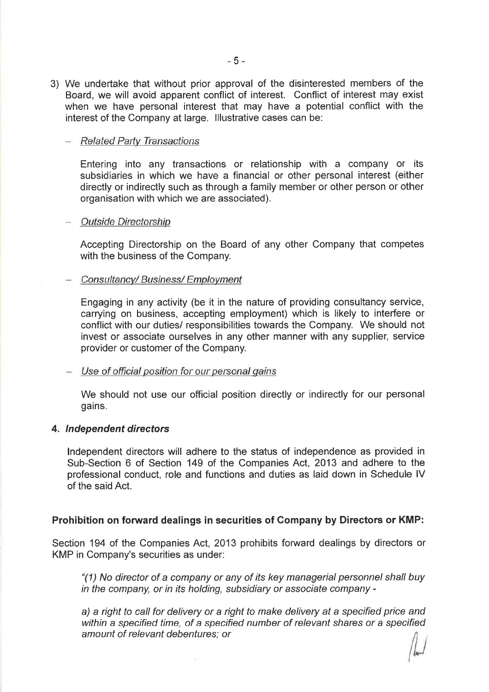3) We undertake that without prior approval of the disinterested members of the Board, we will avoid apparent conflict of interest. Conflict of interest may exist when we have personal interest that may have a potential conflict with the interest of the Company at large. lllustrative cases can be:

## - Related Party Transactions

Entering into any transactions or relationship with a company or its subsidiaries in which we have a financial or other personal interest (either directly or indirectly such as through a family member or other person or other organisation with which we are associated).

## Outside Directorship

Accepting Directorship on the Board of any other Company that competes with the business of the Company.

## Consultancy/ Business/ Employment

Engaging in any activity (be it in the nature of providing consultancy service, carrying on business, accepting employment) which is likely to interfere or conflict with our duties/ responsibilities towards the Company. We should not invest or associate ourselves in any other manner with any supplier, service provider or customer of the Company.

# - Use of official position for our personal gains

We should not use our official position directly or indirectly for our personal gains.

#### 4. Independent directors

lndependent directors will adhere to the status of independence as provided in Sub-Section 6 of Section 149 of the Companies Act, 2013 and adhere to the professional conduct, role and functions and duties as laid down in Schedule lV of the said Act.

# Prohibition on forward dealings in securities of Company by Directors or KMP:

Section 194 of the Companies Act, 2013 prohibits forward dealings by directors or KMP in Company's securities as under:

"(1) No director of a company or any of its key managerial personnel shall buy in the company, or in its holding, subsidiary or associate company -

a) a right to call for delivery or a right to make delivery at a specified price and within a specified time, of a specified number of relevant shares or a specified amount of relevant debentures; or

 $\frac{1}{2}$